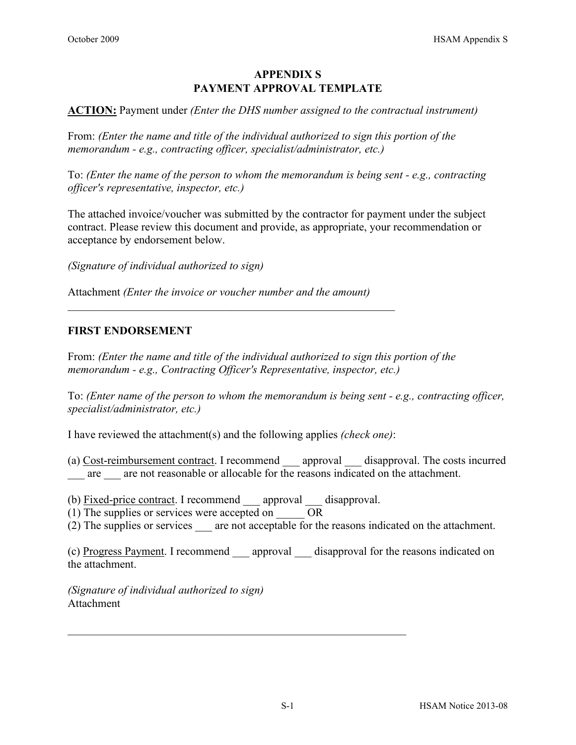## **APPENDIX S PAYMENT APPROVAL TEMPLATE**

**ACTION:** Payment under *(Enter the DHS number assigned to the contractual instrument)* 

From: *(Enter the name and title of the individual authorized to sign this portion of the memorandum - e.g., contracting officer, specialist/administrator, etc.)*

To: *(Enter the name of the person to whom the memorandum is being sent - e.g., contracting officer's representative, inspector, etc.)*

The attached invoice/voucher was submitted by the contractor for payment under the subject contract. Please review this document and provide, as appropriate, your recommendation or acceptance by endorsement below.

*(Signature of individual authorized to sign)*

Attachment *(Enter the invoice or voucher number and the amount)* 

 $\mathcal{L}_\text{max} = \mathcal{L}_\text{max} = \mathcal{L}_\text{max} = \mathcal{L}_\text{max} = \mathcal{L}_\text{max} = \mathcal{L}_\text{max} = \mathcal{L}_\text{max} = \mathcal{L}_\text{max} = \mathcal{L}_\text{max} = \mathcal{L}_\text{max} = \mathcal{L}_\text{max} = \mathcal{L}_\text{max} = \mathcal{L}_\text{max} = \mathcal{L}_\text{max} = \mathcal{L}_\text{max} = \mathcal{L}_\text{max} = \mathcal{L}_\text{max} = \mathcal{L}_\text{max} = \mathcal{$ 

#### **FIRST ENDORSEMENT**

From: *(Enter the name and title of the individual authorized to sign this portion of the memorandum - e.g., Contracting Officer's Representative, inspector, etc.)*

To: *(Enter name of the person to whom the memorandum is being sent - e.g., contracting officer, specialist/administrator, etc.)*

I have reviewed the attachment(s) and the following applies *(check one)*:

(a) Cost-reimbursement contract. I recommend approval disapproval. The costs incurred are are not reasonable or allocable for the reasons indicated on the attachment.

(b) Fixed-price contract. I recommend approval disapproval.

 $\mathcal{L}_\text{G}$ 

- (1) The supplies or services were accepted on  $OR$
- (2) The supplies or services are not acceptable for the reasons indicated on the attachment.

(c) Progress Payment. I recommend approval disapproval for the reasons indicated on the attachment.

*(Signature of individual authorized to sign)* Attachment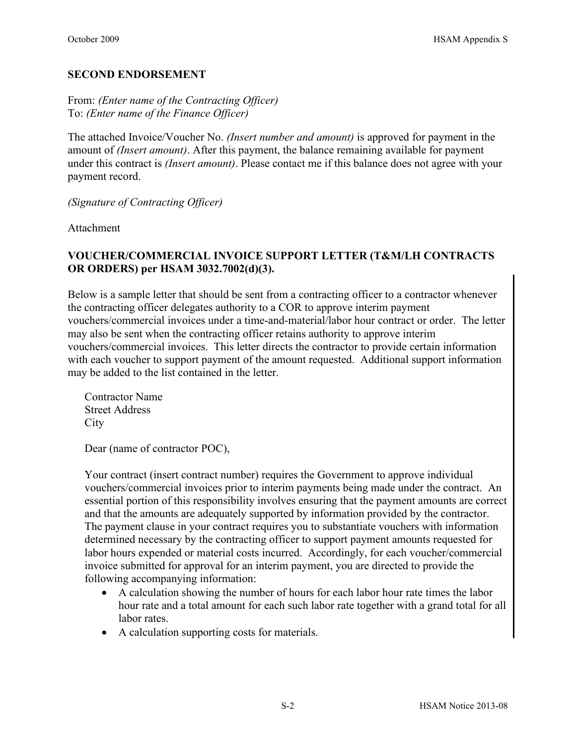#### **SECOND ENDORSEMENT**

From: *(Enter name of the Contracting Officer)* To: *(Enter name of the Finance Officer)* 

The attached Invoice/Voucher No. *(Insert number and amount)* is approved for payment in the amount of *(Insert amount)*. After this payment, the balance remaining available for payment under this contract is *(Insert amount)*. Please contact me if this balance does not agree with your payment record.

*(Signature of Contracting Officer)*

Attachment

# **VOUCHER/COMMERCIAL INVOICE SUPPORT LETTER (T&M/LH CONTRACTS OR ORDERS) per HSAM 3032.7002(d)(3).**

Below is a sample letter that should be sent from a contracting officer to a contractor whenever the contracting officer delegates authority to a COR to approve interim payment vouchers/commercial invoices under a time-and-material/labor hour contract or order. The letter may also be sent when the contracting officer retains authority to approve interim vouchers/commercial invoices. This letter directs the contractor to provide certain information with each voucher to support payment of the amount requested. Additional support information may be added to the list contained in the letter.

Contractor Name Street Address **City** 

Dear (name of contractor POC),

Your contract (insert contract number) requires the Government to approve individual vouchers/commercial invoices prior to interim payments being made under the contract. An essential portion of this responsibility involves ensuring that the payment amounts are correct and that the amounts are adequately supported by information provided by the contractor. The payment clause in your contract requires you to substantiate vouchers with information determined necessary by the contracting officer to support payment amounts requested for labor hours expended or material costs incurred. Accordingly, for each voucher/commercial invoice submitted for approval for an interim payment, you are directed to provide the following accompanying information:

- A calculation showing the number of hours for each labor hour rate times the labor hour rate and a total amount for each such labor rate together with a grand total for all labor rates.
- A calculation supporting costs for materials.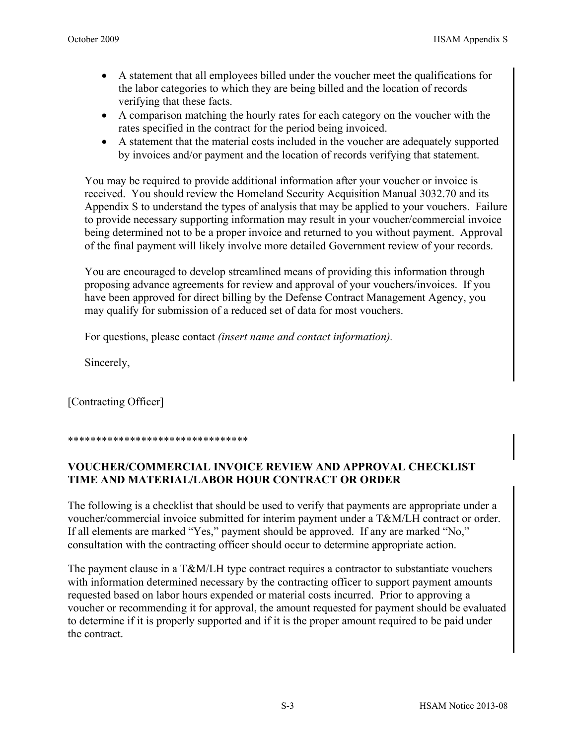- A statement that all employees billed under the voucher meet the qualifications for the labor categories to which they are being billed and the location of records verifying that these facts.
- A comparison matching the hourly rates for each category on the voucher with the rates specified in the contract for the period being invoiced.
- A statement that the material costs included in the voucher are adequately supported by invoices and/or payment and the location of records verifying that statement.

You may be required to provide additional information after your voucher or invoice is received. You should review the Homeland Security Acquisition Manual 3032.70 and its Appendix S to understand the types of analysis that may be applied to your vouchers. Failure to provide necessary supporting information may result in your voucher/commercial invoice being determined not to be a proper invoice and returned to you without payment. Approval of the final payment will likely involve more detailed Government review of your records.

You are encouraged to develop streamlined means of providing this information through proposing advance agreements for review and approval of your vouchers/invoices. If you have been approved for direct billing by the Defense Contract Management Agency, you may qualify for submission of a reduced set of data for most vouchers.

For questions, please contact *(insert name and contact information).* 

Sincerely,

[Contracting Officer]

#### \*\*\*\*\*\*\*\*\*\*\*\*\*\*\*\*\*\*\*\*\*\*\*\*\*\*\*\*\*\*\*\*

### **VOUCHER/COMMERCIAL INVOICE REVIEW AND APPROVAL CHECKLIST TIME AND MATERIAL/LABOR HOUR CONTRACT OR ORDER**

The following is a checklist that should be used to verify that payments are appropriate under a voucher/commercial invoice submitted for interim payment under a T&M/LH contract or order. If all elements are marked "Yes," payment should be approved. If any are marked "No," consultation with the contracting officer should occur to determine appropriate action.

The payment clause in a T&M/LH type contract requires a contractor to substantiate vouchers with information determined necessary by the contracting officer to support payment amounts requested based on labor hours expended or material costs incurred. Prior to approving a voucher or recommending it for approval, the amount requested for payment should be evaluated to determine if it is properly supported and if it is the proper amount required to be paid under the contract.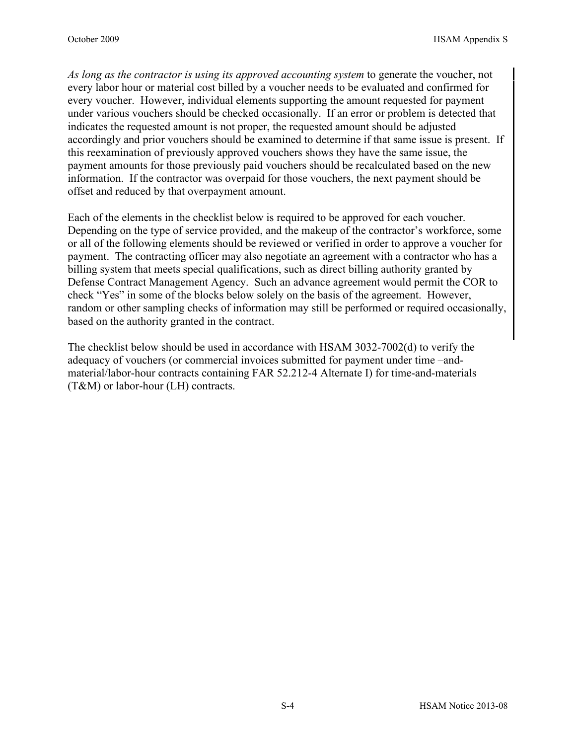*As long as the contractor is using its approved accounting system* to generate the voucher, not every labor hour or material cost billed by a voucher needs to be evaluated and confirmed for every voucher. However, individual elements supporting the amount requested for payment under various vouchers should be checked occasionally. If an error or problem is detected that indicates the requested amount is not proper, the requested amount should be adjusted accordingly and prior vouchers should be examined to determine if that same issue is present. If this reexamination of previously approved vouchers shows they have the same issue, the payment amounts for those previously paid vouchers should be recalculated based on the new information. If the contractor was overpaid for those vouchers, the next payment should be offset and reduced by that overpayment amount.

Each of the elements in the checklist below is required to be approved for each voucher. Depending on the type of service provided, and the makeup of the contractor's workforce, some or all of the following elements should be reviewed or verified in order to approve a voucher for payment. The contracting officer may also negotiate an agreement with a contractor who has a billing system that meets special qualifications, such as direct billing authority granted by Defense Contract Management Agency. Such an advance agreement would permit the COR to check "Yes" in some of the blocks below solely on the basis of the agreement. However, random or other sampling checks of information may still be performed or required occasionally, based on the authority granted in the contract.

The checklist below should be used in accordance with HSAM 3032-7002(d) to verify the adequacy of vouchers (or commercial invoices submitted for payment under time –andmaterial/labor-hour contracts containing FAR 52.212-4 Alternate I) for time-and-materials (T&M) or labor-hour (LH) contracts.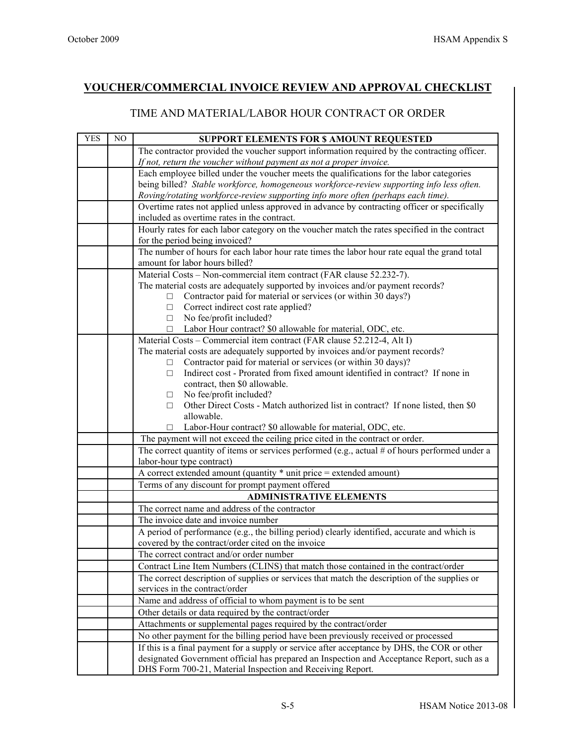## **VOUCHER/COMMERCIAL INVOICE REVIEW AND APPROVAL CHECKLIST**

#### TIME AND MATERIAL/LABOR HOUR CONTRACT OR ORDER

| <b>YES</b> | $\rm NO$ | <b>SUPPORT ELEMENTS FOR \$ AMOUNT REQUESTED</b>                                                                                                          |
|------------|----------|----------------------------------------------------------------------------------------------------------------------------------------------------------|
|            |          | The contractor provided the voucher support information required by the contracting officer.                                                             |
|            |          | If not, return the voucher without payment as not a proper invoice.                                                                                      |
|            |          | Each employee billed under the voucher meets the qualifications for the labor categories                                                                 |
|            |          | being billed? Stable workforce, homogeneous workforce-review supporting info less often.                                                                 |
|            |          | Roving/rotating workforce-review supporting info more often (perhaps each time).                                                                         |
|            |          | Overtime rates not applied unless approved in advance by contracting officer or specifically                                                             |
|            |          | included as overtime rates in the contract.                                                                                                              |
|            |          | Hourly rates for each labor category on the voucher match the rates specified in the contract<br>for the period being invoiced?                          |
|            |          | The number of hours for each labor hour rate times the labor hour rate equal the grand total<br>amount for labor hours billed?                           |
|            |          | Material Costs - Non-commercial item contract (FAR clause 52.232-7).                                                                                     |
|            |          | The material costs are adequately supported by invoices and/or payment records?                                                                          |
|            |          | Contractor paid for material or services (or within 30 days?)<br>□                                                                                       |
|            |          | Correct indirect cost rate applied?<br>□                                                                                                                 |
|            |          | No fee/profit included?<br>□                                                                                                                             |
|            |          | Labor Hour contract? \$0 allowable for material, ODC, etc.<br>□                                                                                          |
|            |          | Material Costs - Commercial item contract (FAR clause 52.212-4, Alt I)                                                                                   |
|            |          | The material costs are adequately supported by invoices and/or payment records?                                                                          |
|            |          | Contractor paid for material or services (or within 30 days)?<br>$\Box$                                                                                  |
|            |          | Indirect cost - Prorated from fixed amount identified in contract? If none in<br>□                                                                       |
|            |          | contract, then \$0 allowable.                                                                                                                            |
|            |          | No fee/profit included?<br>$\Box$                                                                                                                        |
|            |          | Other Direct Costs - Match authorized list in contract? If none listed, then \$0<br>□                                                                    |
|            |          | allowable.                                                                                                                                               |
|            |          | Labor-Hour contract? \$0 allowable for material, ODC, etc.                                                                                               |
|            |          | The payment will not exceed the ceiling price cited in the contract or order.                                                                            |
|            |          | The correct quantity of items or services performed (e.g., actual # of hours performed under a                                                           |
|            |          | labor-hour type contract)                                                                                                                                |
|            |          | A correct extended amount (quantity * unit price = extended amount)                                                                                      |
|            |          | Terms of any discount for prompt payment offered                                                                                                         |
|            |          | <b>ADMINISTRATIVE ELEMENTS</b>                                                                                                                           |
|            |          | The correct name and address of the contractor                                                                                                           |
|            |          | The invoice date and invoice number                                                                                                                      |
|            |          | A period of performance (e.g., the billing period) clearly identified, accurate and which is                                                             |
|            |          | covered by the contract/order cited on the invoice                                                                                                       |
|            |          | The correct contract and/or order number                                                                                                                 |
|            |          | Contract Line Item Numbers (CLINS) that match those contained in the contract/order                                                                      |
|            |          | The correct description of supplies or services that match the description of the supplies or                                                            |
|            |          | services in the contract/order                                                                                                                           |
|            |          | Name and address of official to whom payment is to be sent                                                                                               |
|            |          | Other details or data required by the contract/order                                                                                                     |
|            |          | Attachments or supplemental pages required by the contract/order                                                                                         |
|            |          | No other payment for the billing period have been previously received or processed                                                                       |
|            |          | If this is a final payment for a supply or service after acceptance by DHS, the COR or other                                                             |
|            |          | designated Government official has prepared an Inspection and Acceptance Report, such as a<br>DHS Form 700-21, Material Inspection and Receiving Report. |